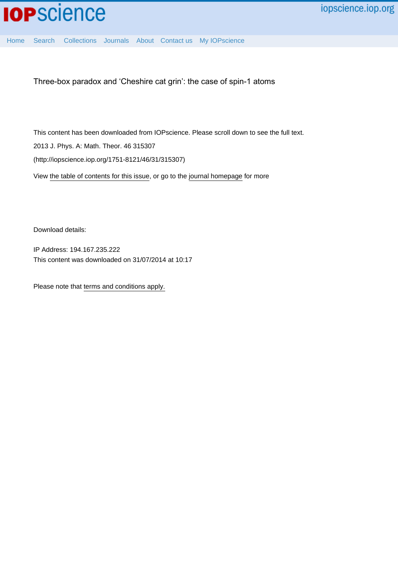

[Home](http://iopscience.iop.org/) [Search](http://iopscience.iop.org/search) [Collections](http://iopscience.iop.org/collections) [Journals](http://iopscience.iop.org/journals) [About](http://iopscience.iop.org/page/aboutioppublishing) [Contact us](http://iopscience.iop.org/contact) [My IOPscience](http://iopscience.iop.org/myiopscience)

Three-box paradox and 'Cheshire cat grin': the case of spin-1 atoms

This content has been downloaded from IOPscience. Please scroll down to see the full text. 2013 J. Phys. A: Math. Theor. 46 315307 (http://iopscience.iop.org/1751-8121/46/31/315307)

View [the table of contents for this issue](http://iopscience.iop.org/1751-8121/46/31), or go to the [journal homepage](http://iopscience.iop.org/1751-8121) for more

Download details:

IP Address: 194.167.235.222 This content was downloaded on 31/07/2014 at 10:17

Please note that [terms and conditions apply.](iopscience.iop.org/page/terms)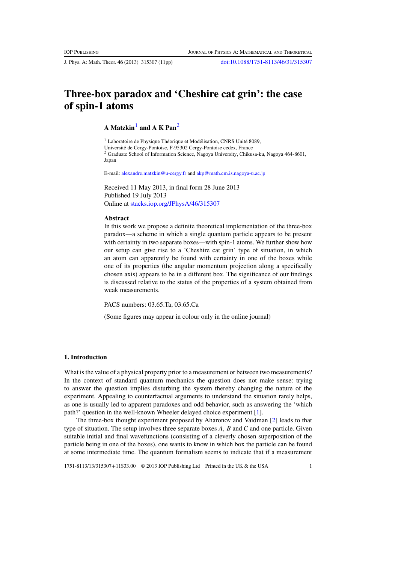J. Phys. A: Math. Theor. **46** (2013) 315307 (11pp) [doi:10.1088/1751-8113/46/31/315307](http://dx.doi.org/10.1088/1751-8113/46/31/315307)

# **Three-box paradox and 'Cheshire cat grin': the case of spin-1 atoms**

**A Matzkin**<sup>1</sup> **and A K Pan**<sup>2</sup>

 $1$  Laboratoire de Physique Théorique et Modélisation, CNRS Unité 8089, Universite de Cergy-Pontoise, F-95302 Cergy-Pontoise cedex, France ´ <sup>2</sup> Graduate School of Information Science, Nagoya University, Chikusa-ku, Nagoya 464-8601, Japan

E-mail: [alexandre.matzkin@u-cergy.fr](mailto:alexandre.matzkin@u-cergy.fr) and [akp@math.cm.is.nagoya-u.ac.jp](mailto:akp@math.cm.is.nagoya-u.ac.jp)

Received 11 May 2013, in final form 28 June 2013 Published 19 July 2013 Online at [stacks.iop.org/JPhysA/46/315307](http://stacks.iop.org/JPhysA/46/315307)

## **Abstract**

In this work we propose a definite theoretical implementation of the three-box paradox—a scheme in which a single quantum particle appears to be present with certainty in two separate boxes—with spin-1 atoms. We further show how our setup can give rise to a 'Cheshire cat grin' type of situation, in which an atom can apparently be found with certainty in one of the boxes while one of its properties (the angular momentum projection along a specifically chosen axis) appears to be in a different box. The significance of our findings is discussed relative to the status of the properties of a system obtained from weak measurements.

PACS numbers: 03.65.Ta, 03.65.Ca

(Some figures may appear in colour only in the online journal)

## **1. Introduction**

What is the value of a physical property prior to a measurement or between two measurements? In the context of standard quantum mechanics the question does not make sense: trying to answer the question implies disturbing the system thereby changing the nature of the experiment. Appealing to counterfactual arguments to understand the situation rarely helps, as one is usually led to apparent paradoxes and odd behavior, such as answering the 'which path?' question in the well-known Wheeler delayed choice experiment [\[1\]](#page-11-0).

The three-box thought experiment proposed by Aharonov and Vaidman [\[2\]](#page-11-0) leads to that type of situation. The setup involves three separate boxes *A*, *B* and *C* and one particle. Given suitable initial and final wavefunctions (consisting of a cleverly chosen superposition of the particle being in one of the boxes), one wants to know in which box the particle can be found at some intermediate time. The quantum formalism seems to indicate that if a measurement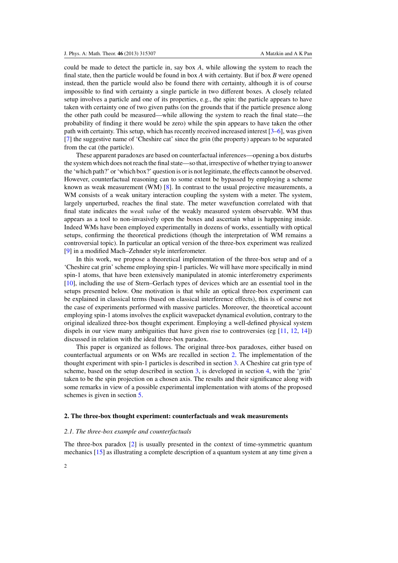<span id="page-2-0"></span>could be made to detect the particle in, say box *A*, while allowing the system to reach the final state, then the particle would be found in box *A* with certainty. But if box *B* were opened instead, then the particle would also be found there with certainty, although it is of course impossible to find with certainty a single particle in two different boxes. A closely related setup involves a particle and one of its properties, e.g., the spin: the particle appears to have taken with certainty one of two given paths (on the grounds that if the particle presence along the other path could be measured—while allowing the system to reach the final state—the probability of finding it there would be zero) while the spin appears to have taken the other path with certainty. This setup, which has recently received increased interest [\[3–6\]](#page-11-0), was given [\[7](#page-11-0)] the suggestive name of 'Cheshire cat' since the grin (the property) appears to be separated from the cat (the particle).

These apparent paradoxes are based on counterfactual inferences—opening a box disturbs the system which does not reach the final state—so that, irrespective of whether trying to answer the 'which path?' or 'which box?' question is or is not legitimate, the effects cannot be observed. However, counterfactual reasoning can to some extent be bypassed by employing a scheme known as weak measurement (WM) [\[8](#page-11-0)]. In contrast to the usual projective measurements, a WM consists of a weak unitary interaction coupling the system with a meter. The system, largely unperturbed, reaches the final state. The meter wavefunction correlated with that final state indicates the *weak value* of the weakly measured system observable. WM thus appears as a tool to non-invasively open the boxes and ascertain what is happening inside. Indeed WMs have been employed experimentally in dozens of works, essentially with optical setups, confirming the theoretical predictions (though the interpretation of WM remains a controversial topic). In particular an optical version of the three-box experiment was realized [\[9](#page-11-0)] in a modified Mach–Zehnder style interferometer.

In this work, we propose a theoretical implementation of the three-box setup and of a 'Cheshire cat grin' scheme employing spin-1 particles. We will have more specifically in mind spin-1 atoms, that have been extensively manipulated in atomic interferometry experiments [\[10](#page-11-0)], including the use of Stern–Gerlach types of devices which are an essential tool in the setups presented below. One motivation is that while an optical three-box experiment can be explained in classical terms (based on classical interference effects), this is of course not the case of experiments performed with massive particles. Moreover, the theoretical account employing spin-1 atoms involves the explicit wavepacket dynamical evolution, contrary to the original idealized three-box thought experiment. Employing a well-defined physical system dispels in our view many ambiguities that have given rise to controversies (eg  $[11, 12, 14]$  $[11, 12, 14]$  $[11, 12, 14]$  $[11, 12, 14]$  $[11, 12, 14]$ ) discussed in relation with the ideal three-box paradox.

This paper is organized as follows. The original three-box paradoxes, either based on counterfactual arguments or on WMs are recalled in section 2. The implementation of the thought experiment with spin-1 particles is described in section [3.](#page-4-0) A Cheshire cat grin type of scheme, based on the setup described in section [3,](#page-4-0) is developed in section [4,](#page-8-0) with the 'grin' taken to be the spin projection on a chosen axis. The results and their significance along with some remarks in view of a possible experimental implementation with atoms of the proposed schemes is given in section [5.](#page-9-0)

## **2. The three-box thought experiment: counterfactuals and weak measurements**

### *2.1. The three-box example and counterfactuals*

The three-box paradox [\[2](#page-11-0)] is usually presented in the context of time-symmetric quantum mechanics [\[15\]](#page-11-0) as illustrating a complete description of a quantum system at any time given a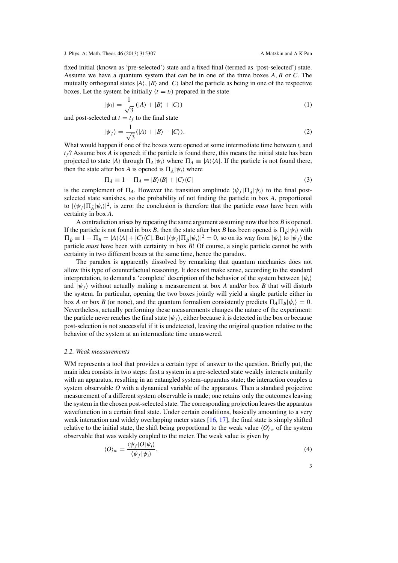<span id="page-3-0"></span>fixed initial (known as 'pre-selected') state and a fixed final (termed as 'post-selected') state. Assume we have a quantum system that can be in one of the three boxes *A*, *B* or *C*. The mutually orthogonal states  $|A\rangle$ ,  $|B\rangle$  and  $|C\rangle$  label the particle as being in one of the respective boxes. Let the system be initially  $(t = t_i)$  prepared in the state

$$
|\psi_i\rangle = \frac{1}{\sqrt{3}} (|A\rangle + |B\rangle + |C\rangle)
$$
 (1)

and post-selected at  $t = t_f$  to the final state

$$
|\psi_f\rangle = \frac{1}{\sqrt{3}}(|A\rangle + |B\rangle - |C\rangle). \tag{2}
$$

What would happen if one of the boxes were opened at some intermediate time between *ti* and  $t_f$ ? Assume box *A* is opened; if the particle is found there, this means the initial state has been projected to state  $|A\rangle$  through  $\Pi_A|\psi_i\rangle$  where  $\Pi_A \equiv |A\rangle\langle A|$ . If the particle is not found there, then the state after box *A* is opened is  $\Pi_{\bar{A}}|\psi_i\rangle$  where

$$
\Pi_{\bar{A}} \equiv 1 - \Pi_A = |B\rangle\langle B| + |C\rangle\langle C| \tag{3}
$$

is the complement of  $\Pi_A$ . However the transition amplitude  $\langle \psi_f | \Pi_{\bar{A}} | \psi_i \rangle$  to the final postselected state vanishes, so the probability of not finding the particle in box *A*, proportional to  $|\langle \psi_f | \Pi_{\bar{A}} | \psi_i \rangle|^2$ , is zero: the conclusion is therefore that the particle *must* have been with certainty in box *A*.

A contradiction arises by repeating the same argument assuming now that box *B* is opened. If the particle is not found in box *B*, then the state after box *B* has been opened is  $\Pi_{\bar{B}}|\psi_i\rangle$  with  $\Pi_{\bar{B}} \equiv 1 - \Pi_{B} = |A\rangle\langle A| + |C\rangle\langle C|$ . But  $|\langle \psi_f | \Pi_{\bar{B}} | \psi_i \rangle|^2 = 0$ , so on its way from  $|\psi_i\rangle$  to  $|\psi_f\rangle$  the particle *must* have been with certainty in box *B*! Of course, a single particle cannot be with certainty in two different boxes at the same time, hence the paradox.

The paradox is apparently dissolved by remarking that quantum mechanics does not allow this type of counterfactual reasoning. It does not make sense, according to the standard interpretation, to demand a 'complete' description of the behavior of the system between  $|\psi_i\rangle$ and  $|\psi_f\rangle$  without actually making a measurement at box *A* and/or box *B* that will disturb the system. In particular, opening the two boxes jointly will yield a single particle either in box *A* or box *B* (or none), and the quantum formalism consistently predicts  $\Pi_A \Pi_B |\psi_i\rangle = 0$ . Nevertheless, actually performing these measurements changes the nature of the experiment: the particle never reaches the final state  $|\psi_f\rangle$ , either because it is detected in the box or because post-selection is not successful if it is undetected, leaving the original question relative to the behavior of the system at an intermediate time unanswered.

## *2.2. Weak measurements*

WM represents a tool that provides a certain type of answer to the question. Briefly put, the main idea consists in two steps: first a system in a pre-selected state weakly interacts unitarily with an apparatus, resulting in an entangled system–apparatus state; the interaction couples a system observable *O* with a dynamical variable of the apparatus. Then a standard projective measurement of a different system observable is made; one retains only the outcomes leaving the system in the chosen post-selected state. The corresponding projection leaves the apparatus wavefunction in a certain final state. Under certain conditions, basically amounting to a very weak interaction and widely overlapping meter states [\[16,](#page-11-0) [17\]](#page-11-0), the final state is simply shifted relative to the initial state, the shift being proportional to the weak value  $\langle O \rangle_w$  of the system observable that was weakly coupled to the meter. The weak value is given by

$$
\langle O \rangle_w = \frac{\langle \psi_f | O | \psi_i \rangle}{\langle \psi_f | \psi_i \rangle}.
$$
\n<sup>(4)</sup>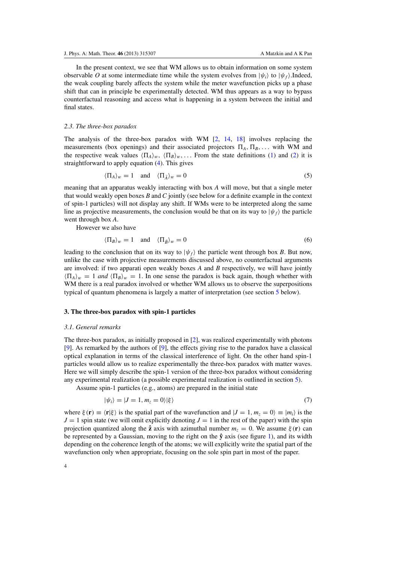<span id="page-4-0"></span>In the present context, we see that WM allows us to obtain information on some system observable *O* at some intermediate time while the system evolves from  $|\psi_i\rangle$  to  $|\psi_f\rangle$ . Indeed, the weak coupling barely affects the system while the meter wavefunction picks up a phase shift that can in principle be experimentally detected. WM thus appears as a way to bypass counterfactual reasoning and access what is happening in a system between the initial and final states.

#### *2.3. The three-box paradox*

The analysis of the three-box paradox with WM [\[2](#page-11-0), [14,](#page-11-0) [18](#page-11-0)] involves replacing the measurements (box openings) and their associated projectors  $\Pi_A$ ,  $\Pi_B$ , ... with WM and the respective weak values  $\langle \Pi_A \rangle_w$ ,  $\langle \Pi_B \rangle_w$ ,... From the state definitions [\(1\)](#page-3-0) and [\(2\)](#page-3-0) it is straightforward to apply equation [\(4\)](#page-3-0). This gives

$$
\langle \Pi_A \rangle_w = 1 \quad \text{and} \quad \langle \Pi_{\bar{A}} \rangle_w = 0 \tag{5}
$$

meaning that an apparatus weakly interacting with box *A* will move, but that a single meter that would weakly open boxes *B* and *C* jointly (see below for a definite example in the context of spin-1 particles) will not display any shift. If WMs were to be interpreted along the same line as projective measurements, the conclusion would be that on its way to  $|\psi_f\rangle$  the particle went through box *A*.

However we also have

$$
\langle \Pi_B \rangle_w = 1 \quad \text{and} \quad \langle \Pi_{\bar{B}} \rangle_w = 0 \tag{6}
$$

leading to the conclusion that on its way to  $|\psi_f\rangle$  the particle went through box *B*. But now, unlike the case with projective measurements discussed above, no counterfactual arguments are involved: if two apparati open weakly boxes *A* and *B* respectively, we will have jointly  $\langle \Pi_A \rangle_w = 1$  *and*  $\langle \Pi_B \rangle_w = 1$ . In one sense the paradox is back again, though whether with WM there is a real paradox involved or whether WM allows us to observe the superpositions typical of quantum phenomena is largely a matter of interpretation (see section [5](#page-9-0) below).

## **3. The three-box paradox with spin-1 particles**

#### *3.1. General remarks*

The three-box paradox, as initially proposed in [\[2\]](#page-11-0), was realized experimentally with photons [\[9](#page-11-0)]. As remarked by the authors of [\[9](#page-11-0)], the effects giving rise to the paradox have a classical optical explanation in terms of the classical interference of light. On the other hand spin-1 particles would allow us to realize experimentally the three-box paradox with matter waves. Here we will simply describe the spin-1 version of the three-box paradox without considering any experimental realization (a possible experimental realization is outlined in section [5\)](#page-9-0).

Assume spin-1 particles (e.g., atoms) are prepared in the initial state

$$
|\psi_i\rangle = |J = 1, m_z = 0\rangle |\xi\rangle \tag{7}
$$

where  $\xi(\mathbf{r}) \equiv \langle \mathbf{r} | \xi \rangle$  is the spatial part of the wavefunction and  $|J = 1, m_z = 0 \rangle \equiv |m_i\rangle$  is the  $J = 1$  spin state (we will omit explicitly denoting  $J = 1$  in the rest of the paper) with the spin projection quantized along the  $\hat{z}$  axis with azimuthal number  $m_z = 0$ . We assume  $\xi(\mathbf{r})$  can be represented by a Gaussian, moving to the right on the  $\hat{y}$  axis (see figure [1\)](#page-5-0), and its width depending on the coherence length of the atoms; we will explicitly write the spatial part of the wavefunction only when appropriate, focusing on the sole spin part in most of the paper.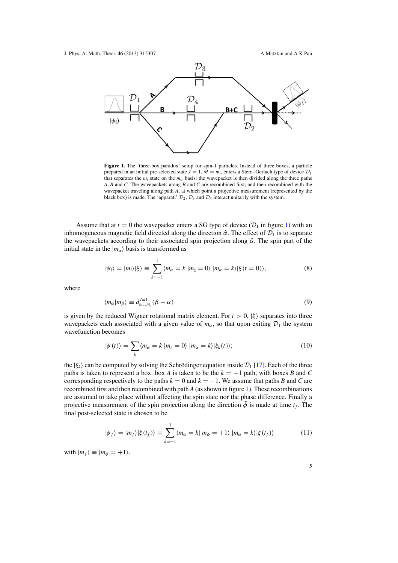<span id="page-5-0"></span>

**Figure 1.** The 'three-box paradox' setup for spin-1 particles. Instead of three boxes, a particle prepared in an initial pre-selected state  $J = 1$ ,  $M = m_i$ , enters a Stern–Gerlach type of device  $\mathcal{D}_1$ that separates the  $m_i$  state on the  $m_\alpha$  basis: the wavepacket is then divided along the three paths *A*, *B* and *C*. The wavepackets along *B* and *C* are recombined first, and then recombined with the wavepacket traveling along path *A*, at which point a projective measurement (represented by the black box) is made. The 'apparati'  $\mathcal{D}_2$ ,  $\mathcal{D}_3$  and  $\mathcal{D}_4$  interact unitarily with the system.

Assume that at  $t = 0$  the wavepacket enters a SG type of device  $(\mathcal{D}_1$  in figure 1) with an inhomogeneous magnetic field directed along the direction  $\hat{\alpha}$ . The effect of  $\mathcal{D}_1$  is to separate the wavepackets according to their associated spin projection along α**ˆ**. The spin part of the initial state in the  $|m_{\alpha}\rangle$  basis is transformed as

$$
|\psi_i\rangle = |m_i\rangle|\xi\rangle \equiv \sum_{k=-1}^{1} \langle m_{\alpha} = k | m_z = 0 \rangle |m_{\alpha} = k\rangle|\xi(t=0)\rangle, \tag{8}
$$

where

$$
\langle m_{\alpha}|m_{\beta}\rangle \equiv d_{m_{\alpha},m_{z}}^{J=1}(\beta-\alpha) \tag{9}
$$

is given by the reduced Wigner rotational matrix element. For  $t > 0$ ,  $|\xi\rangle$  separates into three wavepackets each associated with a given value of  $m_\alpha$ , so that upon exiting  $\mathcal{D}_1$  the system wavefunction becomes

$$
|\psi(t)\rangle = \sum_{k} \langle m_{\alpha} = k | m_{z} = 0 \rangle |m_{\alpha} = k\rangle |\xi_{k}(t)\rangle; \tag{10}
$$

the  $|\xi_k\rangle$  can be computed by solving the Schrödinger equation inside  $\mathcal{D}_1$  [\[17](#page-11-0)]. Each of the three paths is taken to represent a box: box *A* is taken to be the  $k = +1$  path, with boxes *B* and *C* corresponding respectively to the paths  $k = 0$  and  $k = -1$ . We assume that paths *B* and *C* are recombined first and then recombined with path *A* (as shown in figure 1). These recombinations are assumed to take place without affecting the spin state nor the phase difference. Finally a projective measurement of the spin projection along the direction  $\hat{\phi}$  is made at time  $t_f$ . The final post-selected state is chosen to be

$$
|\psi_f\rangle = |m_f\rangle |\xi(t_f)\rangle \equiv \sum_{k=-1}^{1} \langle m_\alpha = k | m_\phi = +1 \rangle |m_\alpha = k\rangle |\xi(t_f)\rangle \tag{11}
$$

with  $|m_f\rangle \equiv |m_\phi = +1\rangle$ .

5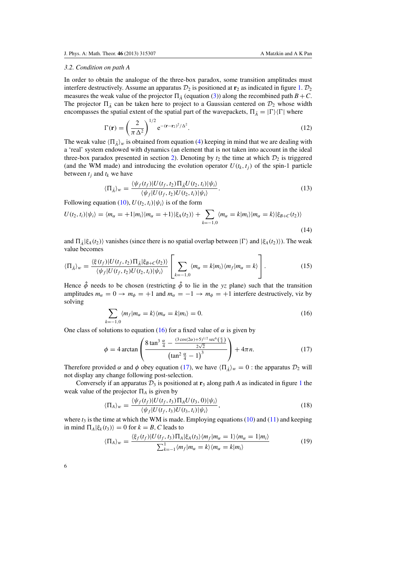## <span id="page-6-0"></span>*3.2. Condition on path A*

In order to obtain the analogue of the three-box paradox, some transition amplitudes must interfere destructively. Assume an apparatus  $\mathcal{D}_2$  is positioned at **r**<sub>2</sub> as indicated in figure [1.](#page-5-0)  $\mathcal{D}_2$ measures the weak value of the projector  $\Pi_{\bar{A}}$  (equation [\(3\)](#page-3-0)) along the recombined path  $B + C$ . The projector  $\Pi_{\bar{A}}$  can be taken here to project to a Gaussian centered on  $\mathcal{D}_2$  whose width encompasses the spatial extent of the spatial part of the wavepackets,  $\Pi_{\bar{A}} = |\Gamma\rangle\langle\Gamma|$  where

$$
\Gamma(\mathbf{r}) = \left(\frac{2}{\pi\,\Delta^2}\right)^{1/2} e^{-(\mathbf{r}-\mathbf{r}_2)^2/\Delta^2}.\tag{12}
$$

The weak value  $\langle \Pi_{\bar{A}} \rangle_w$  is obtained from equation [\(4\)](#page-3-0) keeping in mind that we are dealing with a 'real' system endowed with dynamics (an element that is not taken into account in the ideal three-box paradox presented in section [2\)](#page-2-0). Denoting by  $t_2$  the time at which  $\mathcal{D}_2$  is triggered (and the WM made) and introducing the evolution operator  $U(t_k, t_j)$  of the spin-1 particle between  $t_i$  and  $t_k$  we have

$$
\langle \Pi_{\overline{A}} \rangle_w = \frac{\langle \psi_f(t_f) | U(t_f, t_2) \Pi_{\overline{A}} U(t_2, t_i) | \psi_i \rangle}{\langle \psi_f | U(t_f, t_2) U(t_2, t_i) | \psi_i \rangle}.
$$
\n(13)

Following equation [\(10\)](#page-5-0),  $U(t_2, t_i)|\psi_i\rangle$  is of the form

$$
U(t_2, t_i)|\psi_i\rangle = \langle m_\alpha = +1|m_i\rangle|m_\alpha = +1\rangle|\xi_A(t_2)\rangle + \sum_{k=-1,0} \langle m_\alpha = k|m_i\rangle|m_\alpha = k\rangle|\xi_{B+C}(t_2)\rangle
$$
\n(14)

and  $\Pi_{\bar{A}}|\xi_A(t_2)\rangle$  vanishes (since there is no spatial overlap between  $|\Gamma\rangle$  and  $|\xi_A(t_2)\rangle$ ). The weak value becomes

$$
\langle \Pi_{\bar{A}} \rangle_w = \frac{\langle \xi(t_f) | U(t_f, t_2) \Pi_{\bar{A}} | \xi_{B+C}(t_2) \rangle}{\langle \psi_f | U(t_f, t_2) U(t_2, t_i) | \psi_i \rangle} \left[ \sum_{k=-1,0} \langle m_\alpha = k | m_i \rangle \langle m_f | m_\alpha = k \rangle \right]. \tag{15}
$$

Hence  $\hat{\phi}$  needs to be chosen (restricting  $\hat{\phi}$  to lie in the *yz* plane) such that the transition amplitudes  $m_{\alpha} = 0 \rightarrow m_{\phi} = +1$  and  $m_{\alpha} = -1 \rightarrow m_{\phi} = +1$  interfere destructively, viz by solving

$$
\sum_{k=-1,0} \langle m_f | m_\alpha = k \rangle \langle m_\alpha = k | m_i \rangle = 0. \tag{16}
$$

One class of solutions to equation (16) for a fixed value of  $\alpha$  is given by

$$
\phi = 4 \arctan\left(\frac{8 \tan^3 \frac{\alpha}{4} - \frac{(3 \cos(2\alpha) + 5)^{1/2} \sec^6(\frac{\alpha}{4})}{2\sqrt{2}}}{\left(\tan^2 \frac{\alpha}{4} - 1\right)^3}\right) + 4\pi n. \tag{17}
$$

Therefore provided  $\alpha$  and  $\phi$  obey equation (17), we have  $\langle \Pi_{\bar{A}} \rangle_w = 0$  : the apparatus  $\mathcal{D}_2$  will not display any change following post-selection.

Conversely if an apparatus  $\mathcal{D}_3$  is positioned at  $\mathbf{r}_3$  along path *A* as indicated in figure [1](#page-5-0) the weak value of the projector  $\Pi_A$  is given by

$$
\langle \Pi_A \rangle_w = \frac{\langle \psi_f(t_f)|U(t_f, t_3) \Pi_A U(t_3, 0)|\psi_i \rangle}{\langle \psi_f|U(t_f, t_3)U(t_3, t_i)|\psi_i \rangle}, \tag{18}
$$

where  $t_3$  is the time at which the WM is made. Employing equations [\(10\)](#page-5-0) and [\(11\)](#page-5-0) and keeping in mind  $\Pi_A|\xi_k(t_3)\rangle = 0$  for  $k = B, C$  leads to

$$
\langle \Pi_A \rangle_w = \frac{\langle \xi_f(t_f) | U(t_f, t_3) \Pi_A | \xi_A(t_3) \langle m_f | m_\alpha = 1 \rangle \langle m_\alpha = 1 | m_i \rangle}{\sum_{k=-1}^1 \langle m_f | m_\alpha = k \rangle \langle m_\alpha = k | m_i \rangle}
$$
(19)

6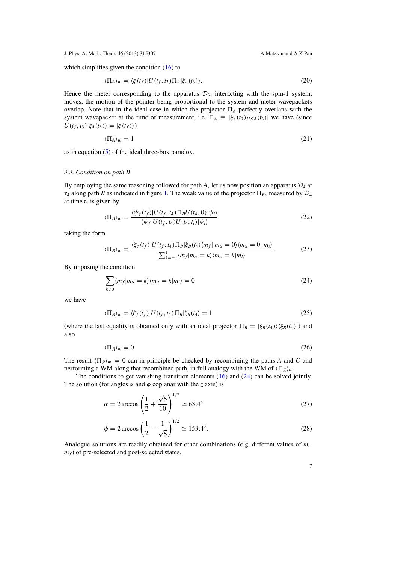<span id="page-7-0"></span>which simplifies given the condition  $(16)$  to

$$
\langle \Pi_A \rangle_w = \langle \xi(t_f) | U(t_f, t_3) \Pi_A | \xi_A(t_3) \rangle. \tag{20}
$$

Hence the meter corresponding to the apparatus  $\mathcal{D}_3$ , interacting with the spin-1 system, moves, the motion of the pointer being proportional to the system and meter wavepackets overlap. Note that in the ideal case in which the projector  $\Pi_A$  perfectly overlaps with the system wavepacket at the time of measurement, i.e.  $\Pi_A = |\xi_A(t_3)\rangle \langle \xi_A(t_3)|$  we have (since  $U(t_f, t_3) | \xi_A(t_3) \rangle = | \xi(t_f) \rangle$ 

$$
\langle \Pi_A \rangle_w = 1 \tag{21}
$$

as in equation [\(5\)](#page-4-0) of the ideal three-box paradox.

## *3.3. Condition on path B*

By employing the same reasoning followed for path *A*, let us now position an apparatus  $\mathcal{D}_4$  at  $r_4$  along path *B* as indicated in figure [1.](#page-5-0) The weak value of the projector  $\Pi_B$ , measured by  $\mathcal{D}_4$ at time  $t_4$  is given by

$$
\langle \Pi_B \rangle_w = \frac{\langle \psi_f(t_f) | U(t_f, t_4) \Pi_B U(t_4, 0) | \psi_i \rangle}{\langle \psi_f | U(t_f, t_4) U(t_4, t_i) | \psi_i \rangle} \tag{22}
$$

taking the form

$$
\langle \Pi_B \rangle_w = \frac{\langle \xi_f(t_f) | U(t_f, t_4) \Pi_B | \xi_B(t_4) \langle m_f | m_\alpha = 0 \rangle \langle m_\alpha = 0 | m_i \rangle}{\sum_{k=-1}^1 \langle m_f | m_\alpha = k \rangle \langle m_\alpha = k | m_i \rangle}.
$$
 (23)

By imposing the condition

$$
\sum_{k\neq 0} \langle m_f | m_\alpha = k \rangle \langle m_\alpha = k | m_i \rangle = 0 \tag{24}
$$

we have

$$
\langle \Pi_B \rangle_w = \langle \xi_f(t_f) | U(t_f, t_4) \Pi_B | \xi_B(t_4) = 1 \tag{25}
$$

(where the last equality is obtained only with an ideal projector  $\Pi_B = |\xi_B(t_4)\rangle \langle \xi_B(t_4)|$ ) and also

$$
\langle \Pi_{\bar{B}} \rangle_w = 0. \tag{26}
$$

The result  $\langle \Pi_{\bar{B}} \rangle_w = 0$  can in principle be checked by recombining the paths *A* and *C* and performing a WM along that recombined path, in full analogy with the WM of  $\langle \Pi_{\bar{A}} \rangle_w$ .

The conditions to get vanishing transition elements  $(16)$  and  $(24)$  can be solved jointly. The solution (for angles  $\alpha$  and  $\phi$  coplanar with the *z* axis) is

$$
\alpha = 2 \arccos \left( \frac{1}{2} + \frac{\sqrt{5}}{10} \right)^{1/2} \simeq 63.4^{\circ}
$$
 (27)

$$
\phi = 2 \arccos \left( \frac{1}{2} - \frac{1}{\sqrt{5}} \right)^{1/2} \simeq 153.4^{\circ}.
$$
 (28)

Analogue solutions are readily obtained for other combinations (e.g, different values of *mi*,  $m_f$ ) of pre-selected and post-selected states.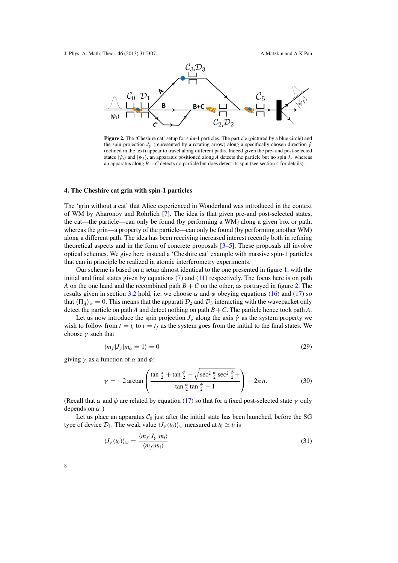<span id="page-8-0"></span>

**Figure 2.** The 'Cheshire cat' setup for spin-1 particles. The particle (pictured by a blue circle) and the spin projection  $J_y$  (represented by a rotating arrow) along a specifically chosen direction  $\hat{\gamma}$ (defined in the text) appear to travel along different paths. Indeed given the pre- and post-selected states  $|\psi_i\rangle$  and  $|\psi_f\rangle$ , an apparatus positioned along *A* detects the particle but no spin  $J_\gamma$  whereas an apparatus along  $B + C$  detects no particle but does detect its spin (see section 4 for details).

## **4. The Cheshire cat grin with spin-1 particles**

The 'grin without a cat' that Alice experienced in Wonderland was introduced in the context of WM by Aharonov and Rohrlich [\[7\]](#page-11-0). The idea is that given pre-and post-selected states, the cat—the particle—can only be found (by performing a WM) along a given box or path, whereas the grin—a property of the particle—can only be found (by performing another WM) along a different path. The idea has been receiving increased interest recently both in refining theoretical aspects and in the form of concrete proposals [\[3–5](#page-11-0)]. These proposals all involve optical schemes. We give here instead a 'Cheshire cat' example with massive spin-1 particles that can in principle be realized in atomic interferometry experiments.

Our scheme is based on a setup almost identical to the one presented in figure [1,](#page-5-0) with the initial and final states given by equations  $(7)$  and  $(11)$  respectively. The focus here is on path *A* on the one hand and the recombined path  $B + C$  on the other, as portrayed in figure 2. The results given in section [3.2](#page-6-0) hold, i.e. we choose  $\alpha$  and  $\phi$  obeying equations [\(16\)](#page-6-0) and [\(17\)](#page-6-0) so that  $\langle \Pi_{\bar{A}} \rangle_w = 0$ . This means that the apparati  $\mathcal{D}_2$  and  $\mathcal{D}_3$  interacting with the wavepacket only detect the particle on path *A* and detect nothing on path  $B + C$ . The particle hence took path *A*.

Let us now introduce the spin projection  $J_\gamma$  along the axis  $\hat{\gamma}$  as the system property we wish to follow from  $t = t_i$  to  $t = t_f$  as the system goes from the initial to the final states. We choose  $\nu$  such that

$$
\langle m_f | J_\gamma | m_\alpha = 1 \rangle = 0 \tag{29}
$$

giving  $\gamma$  as a function of  $\alpha$  and  $\phi$ :

$$
\gamma = -2\arctan\left(\frac{\tan\frac{\alpha}{2} + \tan\frac{\phi}{2} - \sqrt{\sec^2\frac{\alpha}{2}\sec^2\frac{\phi}{2}} + \tan\frac{\alpha}{2}}{\tan\frac{\alpha}{2}\tan\frac{\phi}{2} - 1}\right) + 2\pi n.
$$
 (30)

(Recall that  $\alpha$  and  $\phi$  are related by equation [\(17\)](#page-6-0) so that for a fixed post-selected state  $\gamma$  only depends on  $\alpha$ .)

Let us place an apparatus  $C_0$  just after the initial state has been launched, before the SG type of device  $\mathcal{D}_1$ . The weak value  $\langle J_\gamma(t_0) \rangle_w$  measured at  $t_0 \simeq t_i$  is

$$
\langle J_{\gamma}(t_0) \rangle_w = \frac{\langle m_f | J_{\gamma} | m_i \rangle}{\langle m_f | m_i \rangle} \tag{31}
$$

| ۰, |        |  |
|----|--------|--|
|    | I<br>۹ |  |
|    |        |  |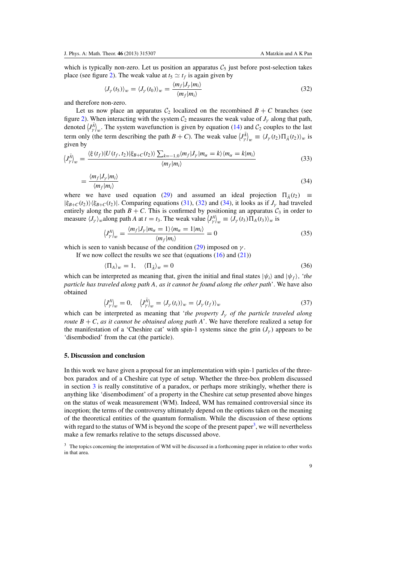<span id="page-9-0"></span>which is typically non-zero. Let us position an apparatus  $C_5$  just before post-selection takes place (see figure [2\)](#page-8-0). The weak value at  $t_5 \simeq t_f$  is again given by

$$
\langle J_{\gamma}(t_5) \rangle_w = \langle J_{\gamma}(t_0) \rangle_w = \frac{\langle m_f | J_{\gamma} | m_i \rangle}{\langle m_f | m_i \rangle} \tag{32}
$$

and therefore non-zero.

Let us now place an apparatus  $C_2$  localized on the recombined  $B + C$  branches (see figure [2\)](#page-8-0). When interacting with the system  $C_2$  measures the weak value of  $J_\gamma$  along that path, denoted  $\langle J^A_\gamma \rangle_w$ . The system wavefunction is given by equation [\(14\)](#page-6-0) and  $C_2$  couples to the last term only (the term describing the path  $B + C$ ). The weak value  $\left\langle J^A_\gamma \right\rangle_w \equiv \left\langle J_\gamma(t_2) \Pi_{\bar{A}}(t_2) \right\rangle_w$  is given by

$$
\left\langle J_{\gamma}^{\bar{A}}\right\rangle_{w} = \frac{\left\langle \xi\left(t_{f}\right) | U\left(t_{f}, t_{2}\right) | \xi_{B+C}\left(t_{2}\right) \right\rangle \sum_{k=-1,0} \left\langle m_{f} | J_{\gamma} | m_{\alpha} = k \right\rangle \left\langle m_{\alpha} = k | m_{i} \right\rangle}{\left\langle m_{f} | m_{i} \right\rangle} \tag{33}
$$

$$
=\frac{\langle m_f|J_\gamma|m_i\rangle}{\langle m_f|m_i\rangle} \tag{34}
$$

where we have used equation [\(29\)](#page-8-0) and assumed an ideal projection  $\Pi_{\bar{A}}(t_2) \equiv$  $|\xi_{B+C}(t_2)\rangle\langle\xi_{B+C}(t_2)|$ . Comparing equations [\(31\)](#page-8-0), (32) and (34), it looks as if  $J_\gamma$  had traveled entirely along the path  $B + C$ . This is confirmed by positioning an apparatus  $C_3$  in order to measure  $\langle J_\gamma \rangle_w$  along path *A* at  $t = t_3$ . The weak value  $\langle J_\gamma^A \rangle_w \equiv \langle J_\gamma(t_3) \Pi_A(t_3) \rangle_w$  is

$$
\left\langle J_{\gamma}^{A}\right\rangle_{w} = \frac{\left\langle m_{f}|J_{\gamma}|m_{\alpha}=1\right\rangle\left\langle m_{\alpha}=1|m_{i}\right\rangle}{\left\langle m_{f}|m_{i}\right\rangle} = 0
$$
\n(35)

which is seen to vanish because of the condition  $(29)$  imposed on  $\nu$ .

If we now collect the results we see that (equations  $(16)$  and  $(21)$ )

$$
\langle \Pi_A \rangle_w = 1, \quad \langle \Pi_{\bar{A}} \rangle_w = 0 \tag{36}
$$

which can be interpreted as meaning that, given the initial and final states  $|\psi_i\rangle$  and  $|\psi_f\rangle$ , '*the particle has traveled along path A*, *as it cannot be found along the other path*'. We have also obtained

$$
\left\langle J_{\gamma}^{A}\right\rangle_{w}=0, \quad \left\langle J_{\gamma}^{\tilde{A}}\right\rangle_{w}=\left\langle J_{\gamma}\left(t_{i}\right)\right\rangle_{w}=\left\langle J_{\gamma}\left(t_{f}\right)\right\rangle_{w} \tag{37}
$$

which can be interpreted as meaning that *'the property J<sub>y</sub> of the particle traveled along route*  $B + C$ , *as it cannot be obtained along path A*'. We have therefore realized a setup for the manifestation of a 'Cheshire cat' with spin-1 systems since the grin  $(J_{\nu})$  appears to be 'disembodied' from the cat (the particle).

## **5. Discussion and conclusion**

In this work we have given a proposal for an implementation with spin-1 particles of the threebox paradox and of a Cheshire cat type of setup. Whether the three-box problem discussed in section [3](#page-4-0) is really constitutive of a paradox, or perhaps more strikingly, whether there is anything like 'disembodiment' of a property in the Cheshire cat setup presented above hinges on the status of weak measurement (WM). Indeed, WM has remained controversial since its inception; the terms of the controversy ultimately depend on the options taken on the meaning of the theoretical entities of the quantum formalism. While the discussion of these options with regard to the status of WM is beyond the scope of the present paper<sup>3</sup>, we will nevertheless make a few remarks relative to the setups discussed above.

<sup>3</sup> The topics concerning the interpretation of WM will be discussed in a forthcoming paper in relation to other works in that area.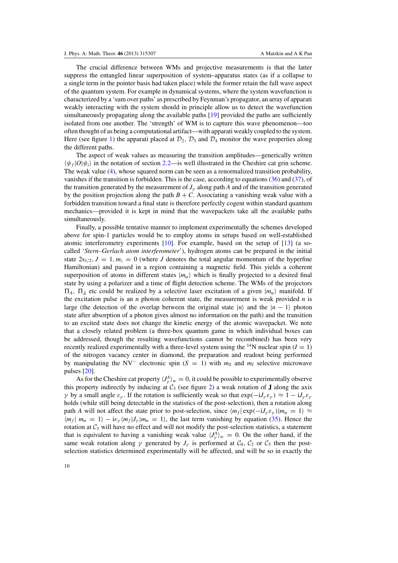The crucial difference between WMs and projective measurements is that the latter suppress the entangled linear superposition of system–apparatus states (as if a collapse to a single term in the pointer basis had taken place) while the former retain the full wave aspect of the quantum system. For example in dynamical systems, where the system wavefunction is characterized by a 'sum over paths' as prescribed by Feynman's propagator, an array of apparati weakly interacting with the system should in principle allow us to detect the wavefunction simultaneously propagating along the available paths [\[19](#page-11-0)] provided the paths are sufficiently isolated from one another. The 'strength' of WM is to capture this wave phenomenon—too often thought of as being a computational artifact—with apparati weakly coupled to the system. Here (see figure [1\)](#page-5-0) the apparati placed at  $\mathcal{D}_2$ ,  $\mathcal{D}_3$  and  $\mathcal{D}_4$  monitor the wave properties along the different paths.

The aspect of weak values as measuring the transition amplitudes—generically written  $\langle \psi_f | O | \psi_i \rangle$  in the notation of section [2.2—](#page-3-0)is well illustrated in the Cheshire cat grin scheme. The weak value [\(4\)](#page-3-0), whose squared norm can be seen as a renormalized transition probability, vanishes if the transition is forbidden. This is the case, according to equations [\(36\)](#page-9-0) and [\(37\)](#page-9-0), of the transition generated by the measurement of  $J_{\gamma}$  along path *A* and of the transition generated by the position projection along the path  $B + C$ . Associating a vanishing weak value with a forbidden transition toward a final state is therefore perfectly cogent within standard quantum mechanics—provided it is kept in mind that the wavepackets take all the available paths simultaneously.

Finally, a possible tentative manner to implement experimentally the schemes developed above for spin-1 particles would be to employ atoms in setups based on well-established atomic interferometry experiments [\[10\]](#page-11-0). For example, based on the setup of [\[13](#page-11-0)] (a socalled '*Stern–Gerlach atom interferometer*'), hydrogen atoms can be prepared in the initial state  $2s_{1/2}$ ,  $J = 1$ ,  $m_z = 0$  (where *J* denotes the total angular momentum of the hyperfine Hamiltonian) and passed in a region containing a magnetic field. This yields a coherent superposition of atoms in different states  $|m_{\alpha}\rangle$  which is finally projected to a desired final state by using a polarizer and a time of flight detection scheme. The WMs of the projectors  $\Pi_A$ ,  $\Pi_{\bar{A}}$  etc could be realized by a selective laser excitation of a given  $|m_{\alpha}\rangle$  manifold. If the excitation pulse is an *n* photon coherent state, the measurement is weak provided *n* is large (the detection of the overlap between the original state  $|n\rangle$  and the  $|n-1\rangle$  photon state after absorption of a photon gives almost no information on the path) and the transition to an excited state does not change the kinetic energy of the atomic wavepacket. We note that a closely related problem (a three-box quantum game in which individual boxes can be addressed, though the resulting wavefunctions cannot be recombined) has been very recently realized experimentally with a three-level system using the <sup>14</sup>N nuclear spin ( $I = 1$ ) of the nitrogen vacancy center in diamond, the preparation and readout being performed by manipulating the NV<sup>−</sup> electronic spin ( $S = 1$ ) with  $m<sub>S</sub>$  and  $m<sub>I</sub>$  selective microwave pulses [\[20\]](#page-11-0).

As for the Cheshire cat property  $\langle J^A_\gamma \rangle_w = 0$ , it could be possible to experimentally observe this property indirectly by inducing at  $C_3$  (see figure [2\)](#page-8-0) a weak rotation of **J** along the axis *γ* by a small angle  $ε<sub>γ</sub>$ . If the rotation is sufficiently weak so that  $exp(-iJ<sub>γ</sub> ε<sub>γ</sub>) ≈ 1 - iJ<sub>γ</sub> ε<sub>γ</sub>$ holds (while still being detectable in the statistics of the post-selection), then a rotation along path *A* will not affect the state prior to post-selection, since  $\langle m_f | \exp(-i J_y \varepsilon_y) | m_\alpha = 1 \rangle \approx$  $\langle m_f | m_\alpha = 1 \rangle - i \varepsilon_\gamma \langle m_f | J_\gamma | m_\alpha = 1 \rangle$ , the last term vanishing by equation [\(35\)](#page-9-0). Hence the rotation at  $C_3$  will have no effect and will not modify the post-selection statistics, a statement that is equivalent to having a vanishing weak value  $\langle J^A_\gamma \rangle_w = 0$ . On the other hand, if the same weak rotation along  $\gamma$  generated by  $J_{\gamma}$  is performed at  $C_0$ ,  $C_2$  or  $C_5$  then the postselection statistics determined experimentally will be affected, and will be so in exactly the